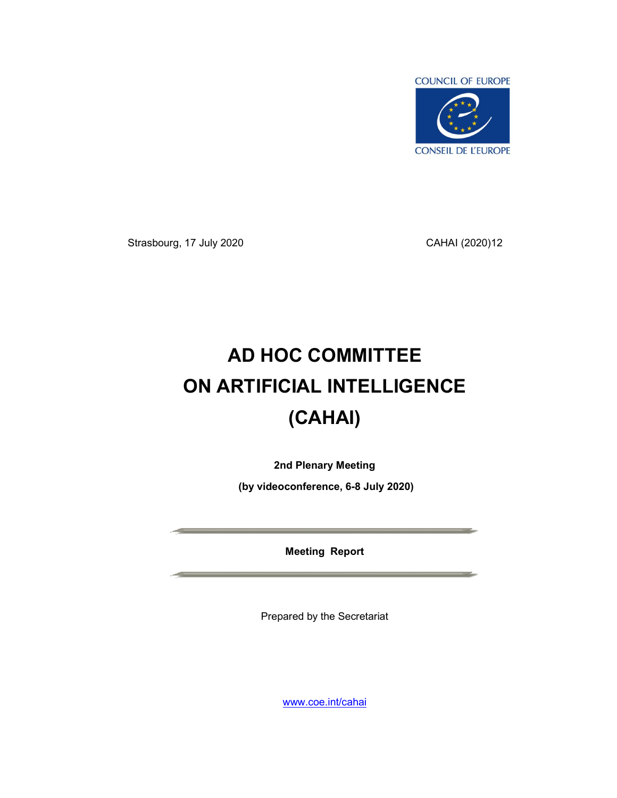

Strasbourg, 17 July 2020 CAHAI (2020)12

# AD HOC COMMITTEE ON ARTIFICIAL INTELLIGENCE (CAHAI)

2nd Plenary Meeting

(by videoconference, 6-8 July 2020)

Meeting Report

Prepared by the Secretariat

www.coe.int/cahai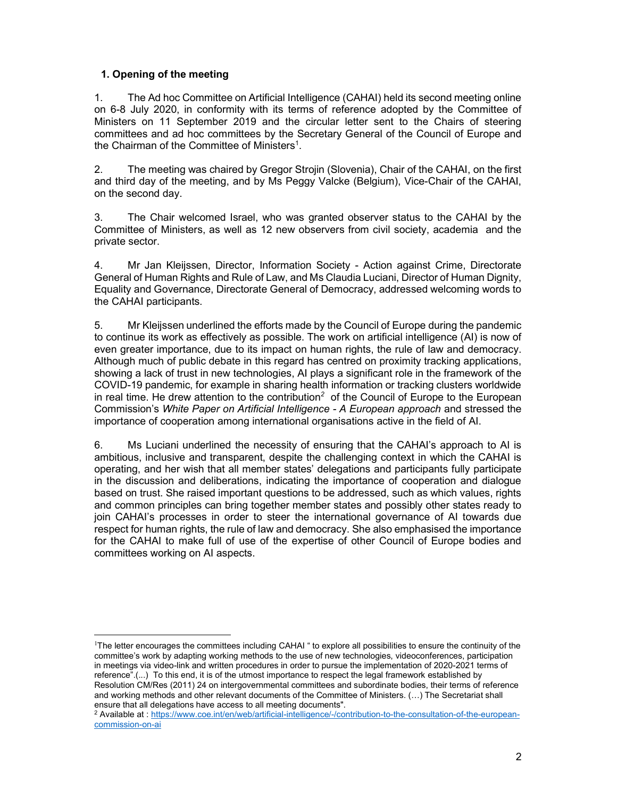## 1. Opening of the meeting

1. The Ad hoc Committee on Artificial Intelligence (CAHAI) held its second meeting online on 6-8 July 2020, in conformity with its terms of reference adopted by the Committee of Ministers on 11 September 2019 and the circular letter sent to the Chairs of steering committees and ad hoc committees by the Secretary General of the Council of Europe and the Chairman of the Committee of Ministers<sup>1</sup>.

2. The meeting was chaired by Gregor Strojin (Slovenia), Chair of the CAHAI, on the first and third day of the meeting, and by Ms Peggy Valcke (Belgium), Vice-Chair of the CAHAI, on the second day.

3. The Chair welcomed Israel, who was granted observer status to the CAHAI by the Committee of Ministers, as well as 12 new observers from civil society, academia and the private sector.

4. Mr Jan Kleijssen, Director, Information Society - Action against Crime, Directorate General of Human Rights and Rule of Law, and Ms Claudia Luciani, Director of Human Dignity, Equality and Governance, Directorate General of Democracy, addressed welcoming words to the CAHAI participants.

5. Mr Kleijssen underlined the efforts made by the Council of Europe during the pandemic to continue its work as effectively as possible. The work on artificial intelligence (AI) is now of even greater importance, due to its impact on human rights, the rule of law and democracy. Although much of public debate in this regard has centred on proximity tracking applications, showing a lack of trust in new technologies, AI plays a significant role in the framework of the COVID-19 pandemic, for example in sharing health information or tracking clusters worldwide in real time. He drew attention to the contribution<sup>2</sup> of the Council of Europe to the European Commission's White Paper on Artificial Intelligence - A European approach and stressed the importance of cooperation among international organisations active in the field of AI.

6. Ms Luciani underlined the necessity of ensuring that the CAHAI's approach to AI is ambitious, inclusive and transparent, despite the challenging context in which the CAHAI is operating, and her wish that all member states' delegations and participants fully participate in the discussion and deliberations, indicating the importance of cooperation and dialogue based on trust. She raised important questions to be addressed, such as which values, rights and common principles can bring together member states and possibly other states ready to join CAHAI's processes in order to steer the international governance of AI towards due respect for human rights, the rule of law and democracy. She also emphasised the importance for the CAHAI to make full of use of the expertise of other Council of Europe bodies and committees working on AI aspects.

<sup>1</sup>The letter encourages the committees including CAHAI " to explore all possibilities to ensure the continuity of the committee's work by adapting working methods to the use of new technologies, videoconferences, participation in meetings via video-link and written procedures in order to pursue the implementation of 2020-2021 terms of reference".(...) To this end, it is of the utmost importance to respect the legal framework established by Resolution CM/Res (2011) 24 on intergovernmental committees and subordinate bodies, their terms of reference and working methods and other relevant documents of the Committee of Ministers. (…) The Secretariat shall ensure that all delegations have access to all meeting documents".

<sup>2</sup> Available at : https://www.coe.int/en/web/artificial-intelligence/-/contribution-to-the-consultation-of-the-europeancommission-on-ai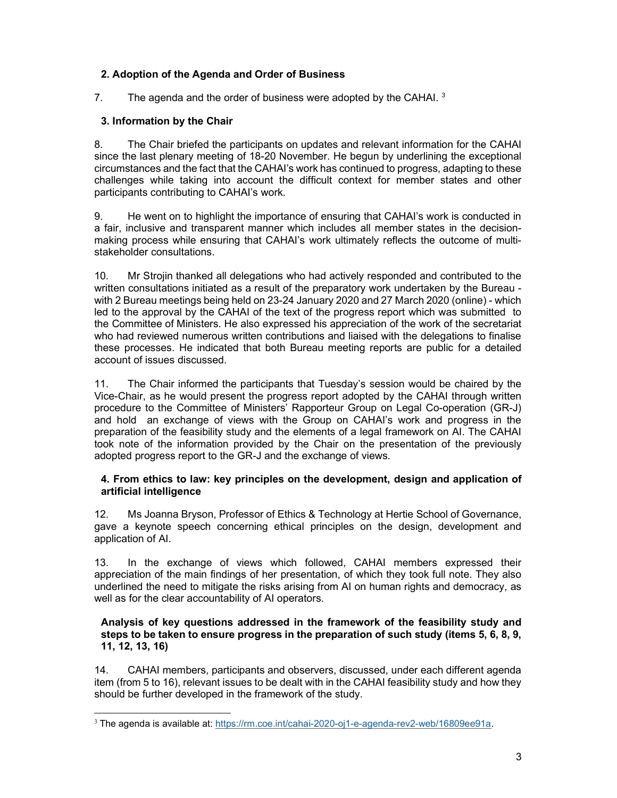# 2. Adoption of the Agenda and Order of Business

7. The agenda and the order of business were adopted by the CAHAI.  $3$ 

# 3. Information by the Chair

8. The Chair briefed the participants on updates and relevant information for the CAHAI since the last plenary meeting of 18-20 November. He begun by underlining the exceptional circumstances and the fact that the CAHAI's work has continued to progress, adapting to these challenges while taking into account the difficult context for member states and other participants contributing to CAHAI's work.

9. He went on to highlight the importance of ensuring that CAHAI's work is conducted in a fair, inclusive and transparent manner which includes all member states in the decisionmaking process while ensuring that CAHAI's work ultimately reflects the outcome of multistakeholder consultations.

10. Mr Strojin thanked all delegations who had actively responded and contributed to the written consultations initiated as a result of the preparatory work undertaken by the Bureau with 2 Bureau meetings being held on 23-24 January 2020 and 27 March 2020 (online) - which led to the approval by the CAHAI of the text of the progress report which was submitted to the Committee of Ministers. He also expressed his appreciation of the work of the secretariat who had reviewed numerous written contributions and liaised with the delegations to finalise these processes. He indicated that both Bureau meeting reports are public for a detailed account of issues discussed.

11. The Chair informed the participants that Tuesday's session would be chaired by the Vice-Chair, as he would present the progress report adopted by the CAHAI through written procedure to the Committee of Ministers' Rapporteur Group on Legal Co-operation (GR-J) and hold an exchange of views with the Group on CAHAI's work and progress in the preparation of the feasibility study and the elements of a legal framework on AI. The CAHAI took note of the information provided by the Chair on the presentation of the previously adopted progress report to the GR-J and the exchange of views.

## 4. From ethics to law: key principles on the development, design and application of artificial intelligence

12. Ms Joanna Bryson, Professor of Ethics & Technology at Hertie School of Governance, gave a keynote speech concerning ethical principles on the design, development and application of AI.

13. In the exchange of views which followed, CAHAI members expressed their appreciation of the main findings of her presentation, of which they took full note. They also underlined the need to mitigate the risks arising from AI on human rights and democracy, as well as for the clear accountability of AI operators.

## Analysis of key questions addressed in the framework of the feasibility study and steps to be taken to ensure progress in the preparation of such study (items 5, 6, 8, 9, 11, 12, 13, 16)

14. CAHAI members, participants and observers, discussed, under each different agenda item (from 5 to 16), relevant issues to be dealt with in the CAHAI feasibility study and how they should be further developed in the framework of the study.

<sup>3</sup> The agenda is available at: https://rm.coe.int/cahai-2020-oj1-e-agenda-rev2-web/16809ee91a.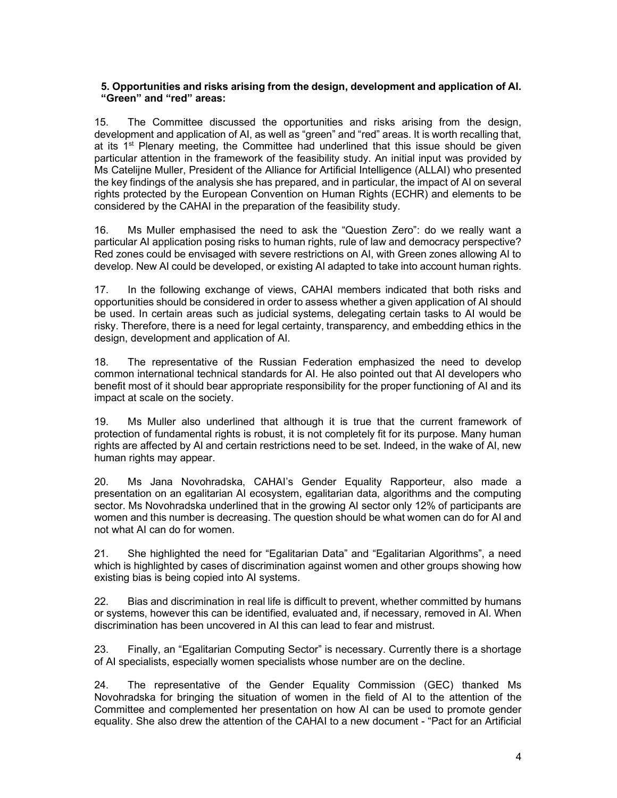## 5. Opportunities and risks arising from the design, development and application of AI. "Green" and "red" areas:

15. The Committee discussed the opportunities and risks arising from the design, development and application of AI, as well as "green" and "red" areas. It is worth recalling that, at its  $1<sup>st</sup>$  Plenary meeting, the Committee had underlined that this issue should be given particular attention in the framework of the feasibility study. An initial input was provided by Ms Catelijne Muller, President of the Alliance for Artificial Intelligence (ALLAI) who presented the key findings of the analysis she has prepared, and in particular, the impact of AI on several rights protected by the European Convention on Human Rights (ECHR) and elements to be considered by the CAHAI in the preparation of the feasibility study.

16. Ms Muller emphasised the need to ask the "Question Zero": do we really want a particular AI application posing risks to human rights, rule of law and democracy perspective? Red zones could be envisaged with severe restrictions on AI, with Green zones allowing AI to develop. New AI could be developed, or existing AI adapted to take into account human rights.

17. In the following exchange of views, CAHAI members indicated that both risks and opportunities should be considered in order to assess whether a given application of AI should be used. In certain areas such as judicial systems, delegating certain tasks to AI would be risky. Therefore, there is a need for legal certainty, transparency, and embedding ethics in the design, development and application of AI.

18. The representative of the Russian Federation emphasized the need to develop common international technical standards for AI. He also pointed out that AI developers who benefit most of it should bear appropriate responsibility for the proper functioning of AI and its impact at scale on the society.

19. Ms Muller also underlined that although it is true that the current framework of protection of fundamental rights is robust, it is not completely fit for its purpose. Many human rights are affected by AI and certain restrictions need to be set. Indeed, in the wake of AI, new human rights may appear.

20. Ms Jana Novohradska, CAHAI's Gender Equality Rapporteur, also made a presentation on an egalitarian AI ecosystem, egalitarian data, algorithms and the computing sector. Ms Novohradska underlined that in the growing AI sector only 12% of participants are women and this number is decreasing. The question should be what women can do for AI and not what AI can do for women.

21. She highlighted the need for "Egalitarian Data" and "Egalitarian Algorithms", a need which is highlighted by cases of discrimination against women and other groups showing how existing bias is being copied into AI systems.

22. Bias and discrimination in real life is difficult to prevent, whether committed by humans or systems, however this can be identified, evaluated and, if necessary, removed in AI. When discrimination has been uncovered in AI this can lead to fear and mistrust.

23. Finally, an "Egalitarian Computing Sector" is necessary. Currently there is a shortage of AI specialists, especially women specialists whose number are on the decline.

24. The representative of the Gender Equality Commission (GEC) thanked Ms Novohradska for bringing the situation of women in the field of AI to the attention of the Committee and complemented her presentation on how AI can be used to promote gender equality. She also drew the attention of the CAHAI to a new document - "Pact for an Artificial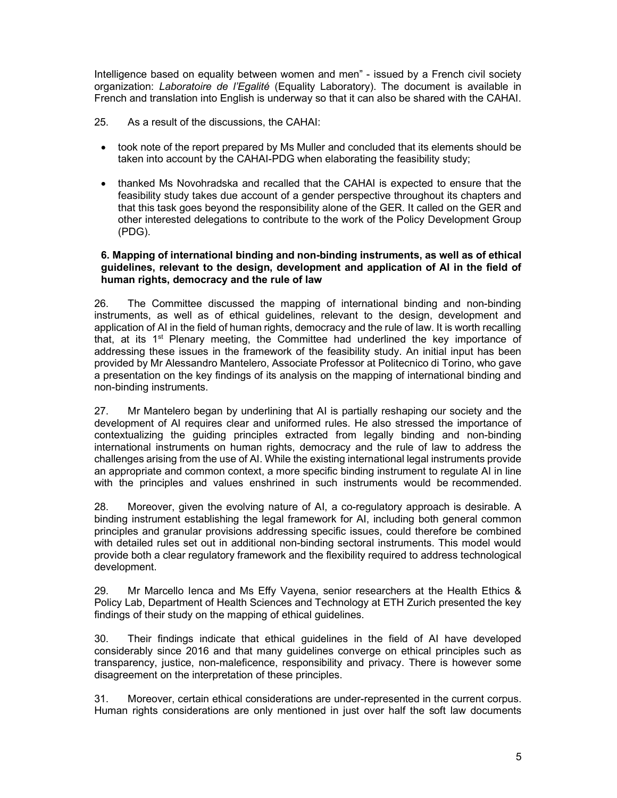Intelligence based on equality between women and men" - issued by a French civil society organization: Laboratoire de l'Egalité (Equality Laboratory). The document is available in French and translation into English is underway so that it can also be shared with the CAHAI.

- 25. As a result of the discussions, the CAHAI:
	- took note of the report prepared by Ms Muller and concluded that its elements should be taken into account by the CAHAI-PDG when elaborating the feasibility study;
	- thanked Ms Novohradska and recalled that the CAHAI is expected to ensure that the feasibility study takes due account of a gender perspective throughout its chapters and that this task goes beyond the responsibility alone of the GER. It called on the GER and other interested delegations to contribute to the work of the Policy Development Group (PDG).

#### 6. Mapping of international binding and non-binding instruments, as well as of ethical guidelines, relevant to the design, development and application of AI in the field of human rights, democracy and the rule of law

26. The Committee discussed the mapping of international binding and non-binding instruments, as well as of ethical guidelines, relevant to the design, development and application of AI in the field of human rights, democracy and the rule of law. It is worth recalling that, at its  $1<sup>st</sup>$  Plenary meeting, the Committee had underlined the key importance of addressing these issues in the framework of the feasibility study. An initial input has been provided by Mr Alessandro Mantelero, Associate Professor at Politecnico di Torino, who gave a presentation on the key findings of its analysis on the mapping of international binding and non-binding instruments.

27. Mr Mantelero began by underlining that AI is partially reshaping our society and the development of AI requires clear and uniformed rules. He also stressed the importance of contextualizing the guiding principles extracted from legally binding and non-binding international instruments on human rights, democracy and the rule of law to address the challenges arising from the use of AI. While the existing international legal instruments provide an appropriate and common context, a more specific binding instrument to regulate AI in line with the principles and values enshrined in such instruments would be recommended.

28. Moreover, given the evolving nature of AI, a co-regulatory approach is desirable. A binding instrument establishing the legal framework for AI, including both general common principles and granular provisions addressing specific issues, could therefore be combined with detailed rules set out in additional non-binding sectoral instruments. This model would provide both a clear regulatory framework and the flexibility required to address technological development.

29. Mr Marcello Ienca and Ms Effy Vayena, senior researchers at the Health Ethics & Policy Lab, Department of Health Sciences and Technology at ETH Zurich presented the key findings of their study on the mapping of ethical guidelines.

30. Their findings indicate that ethical guidelines in the field of AI have developed considerably since 2016 and that many guidelines converge on ethical principles such as transparency, justice, non-maleficence, responsibility and privacy. There is however some disagreement on the interpretation of these principles.

31. Moreover, certain ethical considerations are under-represented in the current corpus. Human rights considerations are only mentioned in just over half the soft law documents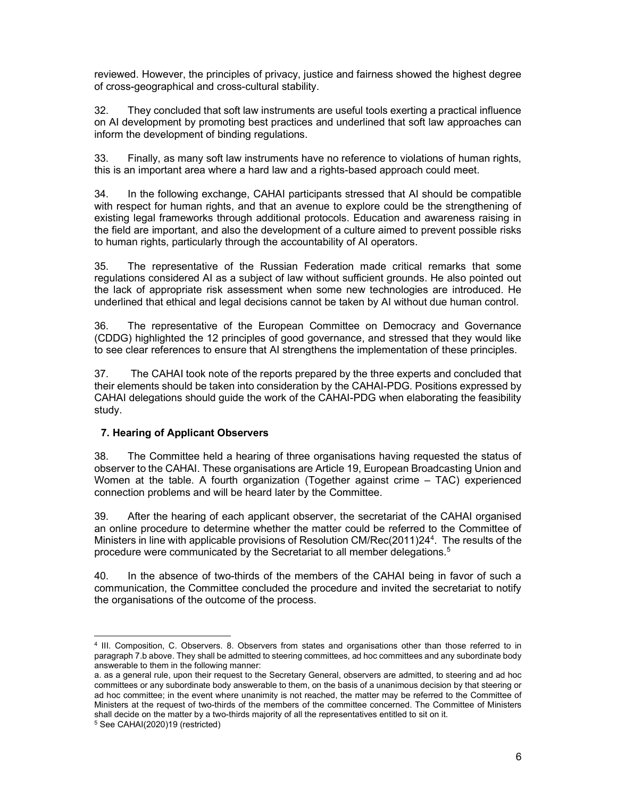reviewed. However, the principles of privacy, justice and fairness showed the highest degree of cross-geographical and cross-cultural stability.

32. They concluded that soft law instruments are useful tools exerting a practical influence on AI development by promoting best practices and underlined that soft law approaches can inform the development of binding regulations.

33. Finally, as many soft law instruments have no reference to violations of human rights, this is an important area where a hard law and a rights-based approach could meet.

34. In the following exchange, CAHAI participants stressed that AI should be compatible with respect for human rights, and that an avenue to explore could be the strengthening of existing legal frameworks through additional protocols. Education and awareness raising in the field are important, and also the development of a culture aimed to prevent possible risks to human rights, particularly through the accountability of AI operators.

35. The representative of the Russian Federation made critical remarks that some regulations considered AI as a subject of law without sufficient grounds. He also pointed out the lack of appropriate risk assessment when some new technologies are introduced. He underlined that ethical and legal decisions cannot be taken by AI without due human control.

36. The representative of the European Committee on Democracy and Governance (CDDG) highlighted the 12 principles of good governance, and stressed that they would like to see clear references to ensure that AI strengthens the implementation of these principles.

37. The CAHAI took note of the reports prepared by the three experts and concluded that their elements should be taken into consideration by the CAHAI-PDG. Positions expressed by CAHAI delegations should guide the work of the CAHAI-PDG when elaborating the feasibility study.

## 7. Hearing of Applicant Observers

38. The Committee held a hearing of three organisations having requested the status of observer to the CAHAI. These organisations are Article 19, European Broadcasting Union and Women at the table. A fourth organization (Together against crime – TAC) experienced connection problems and will be heard later by the Committee.

39. After the hearing of each applicant observer, the secretariat of the CAHAI organised an online procedure to determine whether the matter could be referred to the Committee of Ministers in line with applicable provisions of Resolution CM/Rec(2011)24<sup>4</sup>. The results of the procedure were communicated by the Secretariat to all member delegations.<sup>5</sup>

40. In the absence of two-thirds of the members of the CAHAI being in favor of such a communication, the Committee concluded the procedure and invited the secretariat to notify the organisations of the outcome of the process.

<sup>4</sup> III. Composition, C. Observers. 8. Observers from states and organisations other than those referred to in paragraph 7.b above. They shall be admitted to steering committees, ad hoc committees and any subordinate body answerable to them in the following manner:

a. as a general rule, upon their request to the Secretary General, observers are admitted, to steering and ad hoc committees or any subordinate body answerable to them, on the basis of a unanimous decision by that steering or ad hoc committee; in the event where unanimity is not reached, the matter may be referred to the Committee of Ministers at the request of two-thirds of the members of the committee concerned. The Committee of Ministers shall decide on the matter by a two-thirds majority of all the representatives entitled to sit on it.

<sup>5</sup> See CAHAI(2020)19 (restricted)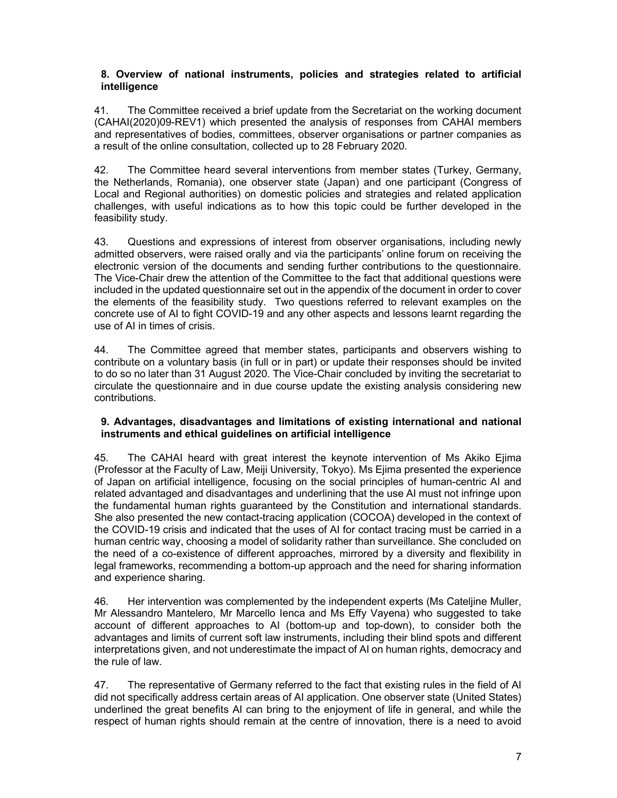## 8. Overview of national instruments, policies and strategies related to artificial intelligence

41. The Committee received a brief update from the Secretariat on the working document (CAHAI(2020)09-REV1) which presented the analysis of responses from CAHAI members and representatives of bodies, committees, observer organisations or partner companies as a result of the online consultation, collected up to 28 February 2020.

42. The Committee heard several interventions from member states (Turkey, Germany, the Netherlands, Romania), one observer state (Japan) and one participant (Congress of Local and Regional authorities) on domestic policies and strategies and related application challenges, with useful indications as to how this topic could be further developed in the feasibility study.

43. Questions and expressions of interest from observer organisations, including newly admitted observers, were raised orally and via the participants' online forum on receiving the electronic version of the documents and sending further contributions to the questionnaire. The Vice-Chair drew the attention of the Committee to the fact that additional questions were included in the updated questionnaire set out in the appendix of the document in order to cover the elements of the feasibility study. Two questions referred to relevant examples on the concrete use of AI to fight COVID-19 and any other aspects and lessons learnt regarding the use of AI in times of crisis.

44. The Committee agreed that member states, participants and observers wishing to contribute on a voluntary basis (in full or in part) or update their responses should be invited to do so no later than 31 August 2020. The Vice-Chair concluded by inviting the secretariat to circulate the questionnaire and in due course update the existing analysis considering new contributions.

## 9. Advantages, disadvantages and limitations of existing international and national instruments and ethical guidelines on artificial intelligence

45. The CAHAI heard with great interest the keynote intervention of Ms Akiko Ejima (Professor at the Faculty of Law, Meiji University, Tokyo). Ms Ejima presented the experience of Japan on artificial intelligence, focusing on the social principles of human-centric AI and related advantaged and disadvantages and underlining that the use AI must not infringe upon the fundamental human rights guaranteed by the Constitution and international standards. She also presented the new contact-tracing application (COCOA) developed in the context of the COVID-19 crisis and indicated that the uses of AI for contact tracing must be carried in a human centric way, choosing a model of solidarity rather than surveillance. She concluded on the need of a co-existence of different approaches, mirrored by a diversity and flexibility in legal frameworks, recommending a bottom-up approach and the need for sharing information and experience sharing.

46. Her intervention was complemented by the independent experts (Ms Cateljine Muller, Mr Alessandro Mantelero, Mr Marcello Ienca and Ms Effy Vayena) who suggested to take account of different approaches to AI (bottom-up and top-down), to consider both the advantages and limits of current soft law instruments, including their blind spots and different interpretations given, and not underestimate the impact of AI on human rights, democracy and the rule of law.

47. The representative of Germany referred to the fact that existing rules in the field of AI did not specifically address certain areas of AI application. One observer state (United States) underlined the great benefits AI can bring to the enjoyment of life in general, and while the respect of human rights should remain at the centre of innovation, there is a need to avoid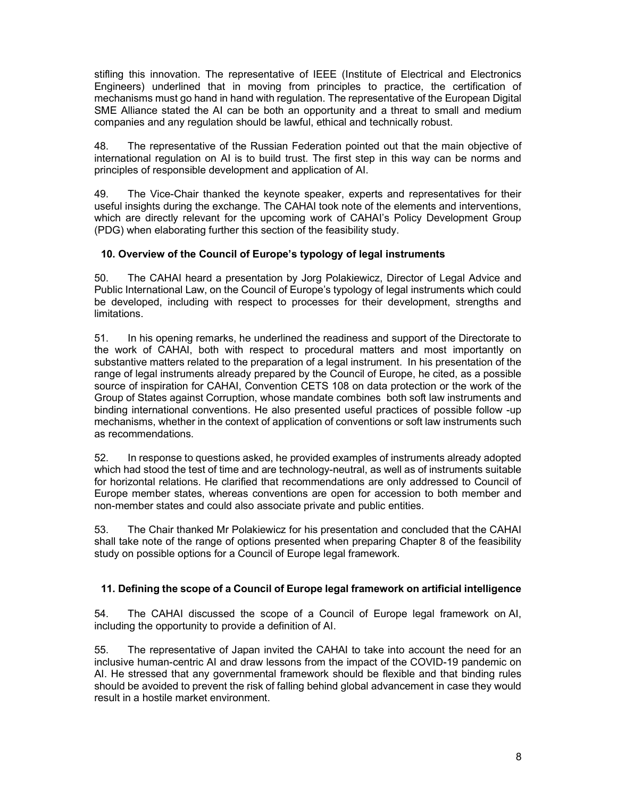stifling this innovation. The representative of IEEE (Institute of Electrical and Electronics Engineers) underlined that in moving from principles to practice, the certification of mechanisms must go hand in hand with regulation. The representative of the European Digital SME Alliance stated the AI can be both an opportunity and a threat to small and medium companies and any regulation should be lawful, ethical and technically robust.

48. The representative of the Russian Federation pointed out that the main objective of international regulation on AI is to build trust. The first step in this way can be norms and principles of responsible development and application of AI.

49. The Vice-Chair thanked the keynote speaker, experts and representatives for their useful insights during the exchange. The CAHAI took note of the elements and interventions, which are directly relevant for the upcoming work of CAHAI's Policy Development Group (PDG) when elaborating further this section of the feasibility study.

# 10. Overview of the Council of Europe's typology of legal instruments

50. The CAHAI heard a presentation by Jorg Polakiewicz, Director of Legal Advice and Public International Law, on the Council of Europe's typology of legal instruments which could be developed, including with respect to processes for their development, strengths and limitations.

51. In his opening remarks, he underlined the readiness and support of the Directorate to the work of CAHAI, both with respect to procedural matters and most importantly on substantive matters related to the preparation of a legal instrument. In his presentation of the range of legal instruments already prepared by the Council of Europe, he cited, as a possible source of inspiration for CAHAI, Convention CETS 108 on data protection or the work of the Group of States against Corruption, whose mandate combines both soft law instruments and binding international conventions. He also presented useful practices of possible follow -up mechanisms, whether in the context of application of conventions or soft law instruments such as recommendations.

52. In response to questions asked, he provided examples of instruments already adopted which had stood the test of time and are technology-neutral, as well as of instruments suitable for horizontal relations. He clarified that recommendations are only addressed to Council of Europe member states, whereas conventions are open for accession to both member and non-member states and could also associate private and public entities.

53. The Chair thanked Mr Polakiewicz for his presentation and concluded that the CAHAI shall take note of the range of options presented when preparing Chapter 8 of the feasibility study on possible options for a Council of Europe legal framework.

## 11. Defining the scope of a Council of Europe legal framework on artificial intelligence

54. The CAHAI discussed the scope of a Council of Europe legal framework on AI, including the opportunity to provide a definition of AI.

55. The representative of Japan invited the CAHAI to take into account the need for an inclusive human-centric AI and draw lessons from the impact of the COVID-19 pandemic on AI. He stressed that any governmental framework should be flexible and that binding rules should be avoided to prevent the risk of falling behind global advancement in case they would result in a hostile market environment.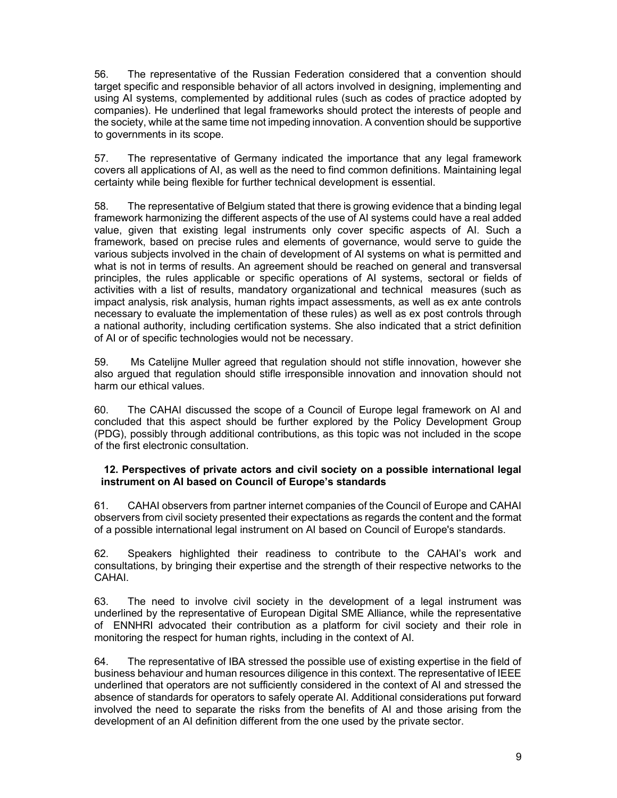56. The representative of the Russian Federation considered that a convention should target specific and responsible behavior of all actors involved in designing, implementing and using AI systems, complemented by additional rules (such as codes of practice adopted by companies). He underlined that legal frameworks should protect the interests of people and the society, while at the same time not impeding innovation. A convention should be supportive to governments in its scope.

57. The representative of Germany indicated the importance that any legal framework covers all applications of AI, as well as the need to find common definitions. Maintaining legal certainty while being flexible for further technical development is essential.

58. The representative of Belgium stated that there is growing evidence that a binding legal framework harmonizing the different aspects of the use of AI systems could have a real added value, given that existing legal instruments only cover specific aspects of AI. Such a framework, based on precise rules and elements of governance, would serve to guide the various subjects involved in the chain of development of AI systems on what is permitted and what is not in terms of results. An agreement should be reached on general and transversal principles, the rules applicable or specific operations of AI systems, sectoral or fields of activities with a list of results, mandatory organizational and technical measures (such as impact analysis, risk analysis, human rights impact assessments, as well as ex ante controls necessary to evaluate the implementation of these rules) as well as ex post controls through a national authority, including certification systems. She also indicated that a strict definition of AI or of specific technologies would not be necessary.

59. Ms Catelijne Muller agreed that regulation should not stifle innovation, however she also argued that regulation should stifle irresponsible innovation and innovation should not harm our ethical values.

60. The CAHAI discussed the scope of a Council of Europe legal framework on AI and concluded that this aspect should be further explored by the Policy Development Group (PDG), possibly through additional contributions, as this topic was not included in the scope of the first electronic consultation.

## 12. Perspectives of private actors and civil society on a possible international legal instrument on AI based on Council of Europe's standards

61. CAHAI observers from partner internet companies of the Council of Europe and CAHAI observers from civil society presented their expectations as regards the content and the format of a possible international legal instrument on AI based on Council of Europe's standards.

62. Speakers highlighted their readiness to contribute to the CAHAI's work and consultations, by bringing their expertise and the strength of their respective networks to the CAHAI.

63. The need to involve civil society in the development of a legal instrument was underlined by the representative of European Digital SME Alliance, while the representative of ENNHRI advocated their contribution as a platform for civil society and their role in monitoring the respect for human rights, including in the context of AI.

64. The representative of IBA stressed the possible use of existing expertise in the field of business behaviour and human resources diligence in this context. The representative of IEEE underlined that operators are not sufficiently considered in the context of AI and stressed the absence of standards for operators to safely operate AI. Additional considerations put forward involved the need to separate the risks from the benefits of AI and those arising from the development of an AI definition different from the one used by the private sector.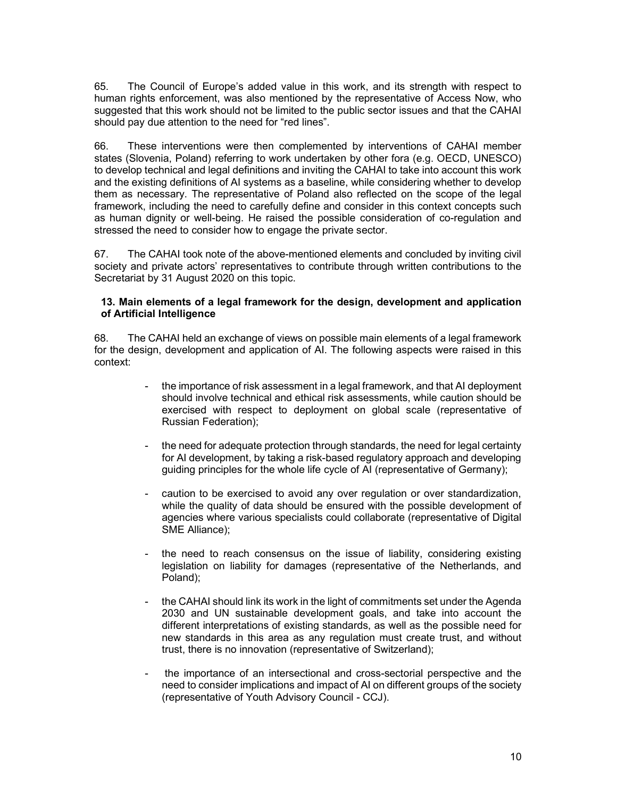65. The Council of Europe's added value in this work, and its strength with respect to human rights enforcement, was also mentioned by the representative of Access Now, who suggested that this work should not be limited to the public sector issues and that the CAHAI should pay due attention to the need for "red lines".

66. These interventions were then complemented by interventions of CAHAI member states (Slovenia, Poland) referring to work undertaken by other fora (e.g. OECD, UNESCO) to develop technical and legal definitions and inviting the CAHAI to take into account this work and the existing definitions of AI systems as a baseline, while considering whether to develop them as necessary. The representative of Poland also reflected on the scope of the legal framework, including the need to carefully define and consider in this context concepts such as human dignity or well-being. He raised the possible consideration of co-regulation and stressed the need to consider how to engage the private sector.

67. The CAHAI took note of the above-mentioned elements and concluded by inviting civil society and private actors' representatives to contribute through written contributions to the Secretariat by 31 August 2020 on this topic.

#### 13. Main elements of a legal framework for the design, development and application of Artificial Intelligence

68. The CAHAI held an exchange of views on possible main elements of a legal framework for the design, development and application of AI. The following aspects were raised in this context:

- the importance of risk assessment in a legal framework, and that AI deployment should involve technical and ethical risk assessments, while caution should be exercised with respect to deployment on global scale (representative of Russian Federation);
- the need for adequate protection through standards, the need for legal certainty for AI development, by taking a risk-based regulatory approach and developing guiding principles for the whole life cycle of AI (representative of Germany);
- caution to be exercised to avoid any over regulation or over standardization, while the quality of data should be ensured with the possible development of agencies where various specialists could collaborate (representative of Digital SME Alliance);
- the need to reach consensus on the issue of liability, considering existing legislation on liability for damages (representative of the Netherlands, and Poland);
- the CAHAI should link its work in the light of commitments set under the Agenda 2030 and UN sustainable development goals, and take into account the different interpretations of existing standards, as well as the possible need for new standards in this area as any regulation must create trust, and without trust, there is no innovation (representative of Switzerland);
- the importance of an intersectional and cross-sectorial perspective and the need to consider implications and impact of AI on different groups of the society (representative of Youth Advisory Council - CCJ).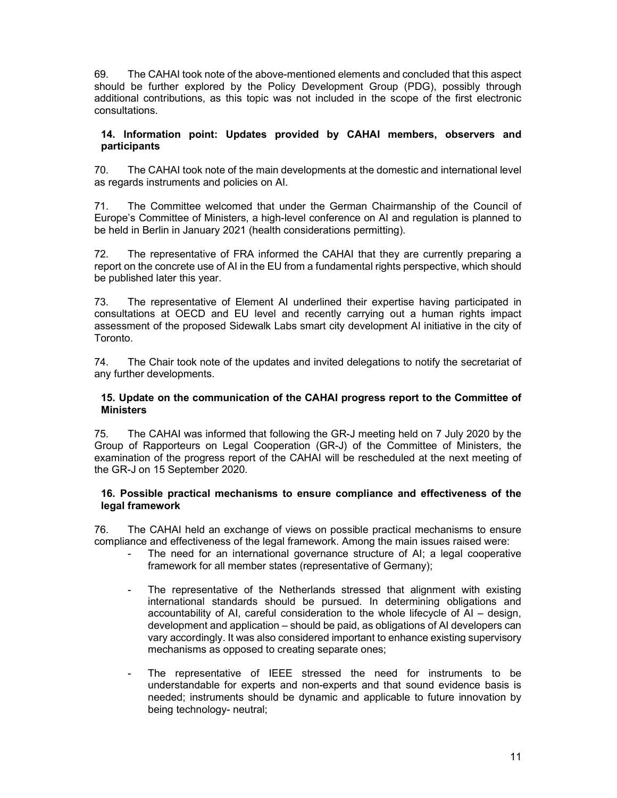69. The CAHAI took note of the above-mentioned elements and concluded that this aspect should be further explored by the Policy Development Group (PDG), possibly through additional contributions, as this topic was not included in the scope of the first electronic consultations.

#### 14. Information point: Updates provided by CAHAI members, observers and participants

70. The CAHAI took note of the main developments at the domestic and international level as regards instruments and policies on AI.

71. The Committee welcomed that under the German Chairmanship of the Council of Europe's Committee of Ministers, a high-level conference on AI and regulation is planned to be held in Berlin in January 2021 (health considerations permitting).

72. The representative of FRA informed the CAHAI that they are currently preparing a report on the concrete use of AI in the EU from a fundamental rights perspective, which should be published later this year.

73. The representative of Element AI underlined their expertise having participated in consultations at OECD and EU level and recently carrying out a human rights impact assessment of the proposed Sidewalk Labs smart city development AI initiative in the city of Toronto.

74. The Chair took note of the updates and invited delegations to notify the secretariat of any further developments.

#### 15. Update on the communication of the CAHAI progress report to the Committee of **Ministers**

75. The CAHAI was informed that following the GR-J meeting held on 7 July 2020 by the Group of Rapporteurs on Legal Cooperation (GR-J) of the Committee of Ministers, the examination of the progress report of the CAHAI will be rescheduled at the next meeting of the GR-J on 15 September 2020.

## 16. Possible practical mechanisms to ensure compliance and effectiveness of the legal framework

76. The CAHAI held an exchange of views on possible practical mechanisms to ensure compliance and effectiveness of the legal framework. Among the main issues raised were:

- The need for an international governance structure of AI; a legal cooperative framework for all member states (representative of Germany);
- The representative of the Netherlands stressed that alignment with existing international standards should be pursued. In determining obligations and accountability of AI, careful consideration to the whole lifecycle of AI – design, development and application – should be paid, as obligations of AI developers can vary accordingly. It was also considered important to enhance existing supervisory mechanisms as opposed to creating separate ones;
- The representative of IEEE stressed the need for instruments to be understandable for experts and non-experts and that sound evidence basis is needed; instruments should be dynamic and applicable to future innovation by being technology- neutral;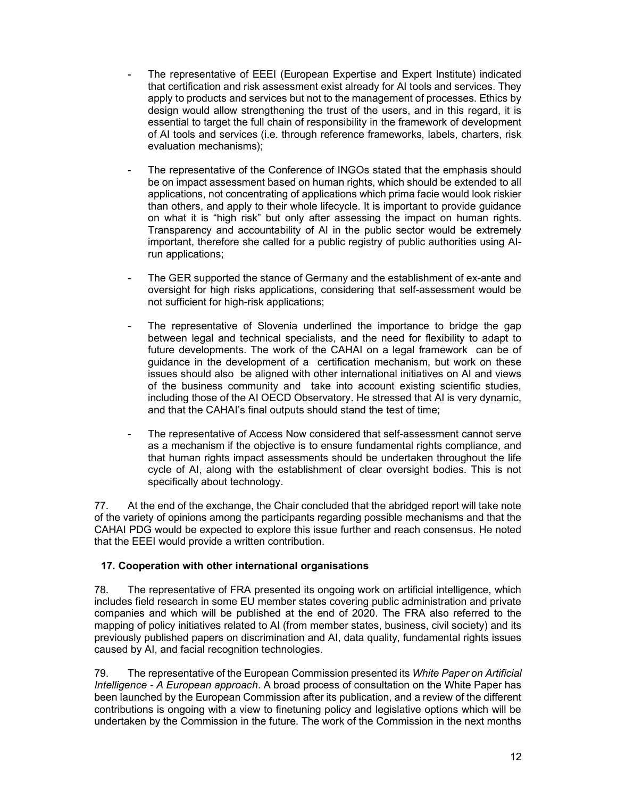- The representative of EEEI (European Expertise and Expert Institute) indicated that certification and risk assessment exist already for AI tools and services. They apply to products and services but not to the management of processes. Ethics by design would allow strengthening the trust of the users, and in this regard, it is essential to target the full chain of responsibility in the framework of development of AI tools and services (i.e. through reference frameworks, labels, charters, risk evaluation mechanisms);
- The representative of the Conference of INGOs stated that the emphasis should be on impact assessment based on human rights, which should be extended to all applications, not concentrating of applications which prima facie would look riskier than others, and apply to their whole lifecycle. It is important to provide guidance on what it is "high risk" but only after assessing the impact on human rights. Transparency and accountability of AI in the public sector would be extremely important, therefore she called for a public registry of public authorities using AIrun applications;
- The GER supported the stance of Germany and the establishment of ex-ante and oversight for high risks applications, considering that self-assessment would be not sufficient for high-risk applications;
- The representative of Slovenia underlined the importance to bridge the gap between legal and technical specialists, and the need for flexibility to adapt to future developments. The work of the CAHAI on a legal framework can be of guidance in the development of a certification mechanism, but work on these issues should also be aligned with other international initiatives on AI and views of the business community and take into account existing scientific studies, including those of the AI OECD Observatory. He stressed that AI is very dynamic, and that the CAHAI's final outputs should stand the test of time;
- The representative of Access Now considered that self-assessment cannot serve as a mechanism if the objective is to ensure fundamental rights compliance, and that human rights impact assessments should be undertaken throughout the life cycle of AI, along with the establishment of clear oversight bodies. This is not specifically about technology.

77. At the end of the exchange, the Chair concluded that the abridged report will take note of the variety of opinions among the participants regarding possible mechanisms and that the CAHAI PDG would be expected to explore this issue further and reach consensus. He noted that the EEEI would provide a written contribution.

# 17. Cooperation with other international organisations

78. The representative of FRA presented its ongoing work on artificial intelligence, which includes field research in some EU member states covering public administration and private companies and which will be published at the end of 2020. The FRA also referred to the mapping of policy initiatives related to AI (from member states, business, civil society) and its previously published papers on discrimination and AI, data quality, fundamental rights issues caused by AI, and facial recognition technologies.

79. The representative of the European Commission presented its White Paper on Artificial Intelligence - A European approach. A broad process of consultation on the White Paper has been launched by the European Commission after its publication, and a review of the different contributions is ongoing with a view to finetuning policy and legislative options which will be undertaken by the Commission in the future. The work of the Commission in the next months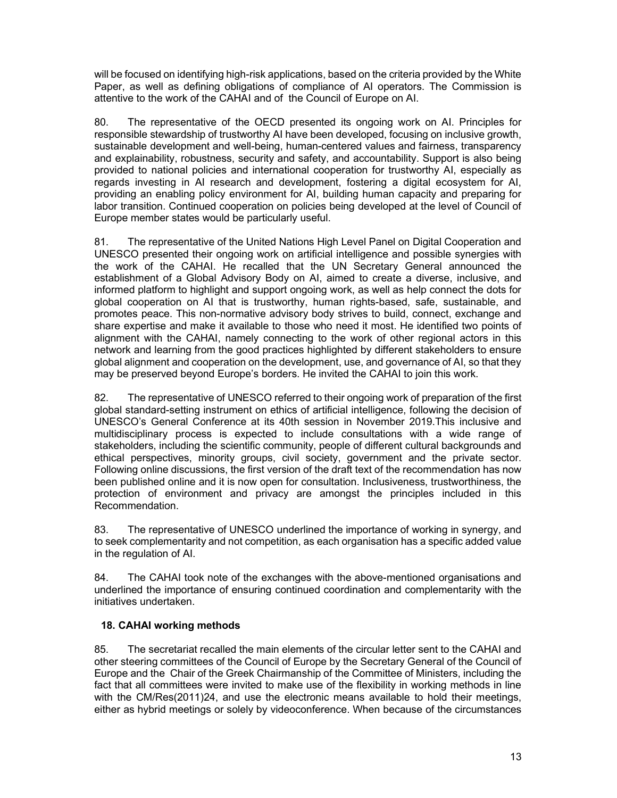will be focused on identifying high-risk applications, based on the criteria provided by the White Paper, as well as defining obligations of compliance of AI operators. The Commission is attentive to the work of the CAHAI and of the Council of Europe on AI.

80. The representative of the OECD presented its ongoing work on AI. Principles for responsible stewardship of trustworthy AI have been developed, focusing on inclusive growth, sustainable development and well-being, human-centered values and fairness, transparency and explainability, robustness, security and safety, and accountability. Support is also being provided to national policies and international cooperation for trustworthy AI, especially as regards investing in AI research and development, fostering a digital ecosystem for AI, providing an enabling policy environment for AI, building human capacity and preparing for labor transition. Continued cooperation on policies being developed at the level of Council of Europe member states would be particularly useful.

81. The representative of the United Nations High Level Panel on Digital Cooperation and UNESCO presented their ongoing work on artificial intelligence and possible synergies with the work of the CAHAI. He recalled that the UN Secretary General announced the establishment of a Global Advisory Body on AI, aimed to create a diverse, inclusive, and informed platform to highlight and support ongoing work, as well as help connect the dots for global cooperation on AI that is trustworthy, human rights-based, safe, sustainable, and promotes peace. This non-normative advisory body strives to build, connect, exchange and share expertise and make it available to those who need it most. He identified two points of alignment with the CAHAI, namely connecting to the work of other regional actors in this network and learning from the good practices highlighted by different stakeholders to ensure global alignment and cooperation on the development, use, and governance of AI, so that they may be preserved beyond Europe's borders. He invited the CAHAI to join this work.

82. The representative of UNESCO referred to their ongoing work of preparation of the first global standard-setting instrument on ethics of artificial intelligence, following the decision of UNESCO's General Conference at its 40th session in November 2019.This inclusive and multidisciplinary process is expected to include consultations with a wide range of stakeholders, including the scientific community, people of different cultural backgrounds and ethical perspectives, minority groups, civil society, government and the private sector. Following online discussions, the first version of the draft text of the recommendation has now been published online and it is now open for consultation. Inclusiveness, trustworthiness, the protection of environment and privacy are amongst the principles included in this Recommendation.

83. The representative of UNESCO underlined the importance of working in synergy, and to seek complementarity and not competition, as each organisation has a specific added value in the regulation of AI.

84. The CAHAI took note of the exchanges with the above-mentioned organisations and underlined the importance of ensuring continued coordination and complementarity with the initiatives undertaken.

# 18. CAHAI working methods

85. The secretariat recalled the main elements of the circular letter sent to the CAHAI and other steering committees of the Council of Europe by the Secretary General of the Council of Europe and the Chair of the Greek Chairmanship of the Committee of Ministers, including the fact that all committees were invited to make use of the flexibility in working methods in line with the CM/Res(2011)24, and use the electronic means available to hold their meetings, either as hybrid meetings or solely by videoconference. When because of the circumstances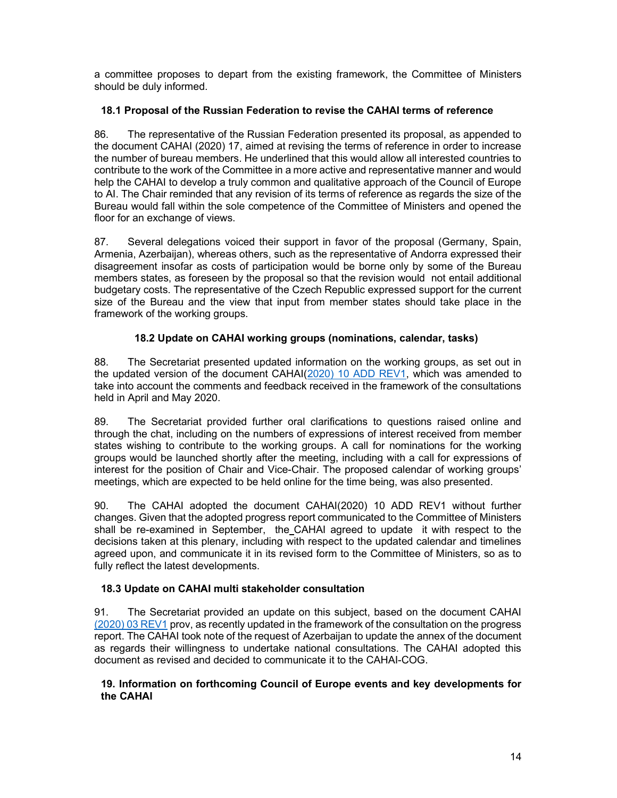a committee proposes to depart from the existing framework, the Committee of Ministers should be duly informed.

# 18.1 Proposal of the Russian Federation to revise the CAHAI terms of reference

86. The representative of the Russian Federation presented its proposal, as appended to the document CAHAI (2020) 17, aimed at revising the terms of reference in order to increase the number of bureau members. He underlined that this would allow all interested countries to contribute to the work of the Committee in a more active and representative manner and would help the CAHAI to develop a truly common and qualitative approach of the Council of Europe to AI. The Chair reminded that any revision of its terms of reference as regards the size of the Bureau would fall within the sole competence of the Committee of Ministers and opened the floor for an exchange of views.

87. Several delegations voiced their support in favor of the proposal (Germany, Spain, Armenia, Azerbaijan), whereas others, such as the representative of Andorra expressed their disagreement insofar as costs of participation would be borne only by some of the Bureau members states, as foreseen by the proposal so that the revision would not entail additional budgetary costs. The representative of the Czech Republic expressed support for the current size of the Bureau and the view that input from member states should take place in the framework of the working groups.

# 18.2 Update on CAHAI working groups (nominations, calendar, tasks)

88. The Secretariat presented updated information on the working groups, as set out in the updated version of the document CAHAI(2020) 10 ADD REV1, which was amended to take into account the comments and feedback received in the framework of the consultations held in April and May 2020.

89. The Secretariat provided further oral clarifications to questions raised online and through the chat, including on the numbers of expressions of interest received from member states wishing to contribute to the working groups. A call for nominations for the working groups would be launched shortly after the meeting, including with a call for expressions of interest for the position of Chair and Vice-Chair. The proposed calendar of working groups' meetings, which are expected to be held online for the time being, was also presented.

90. The CAHAI adopted the document CAHAI(2020) 10 ADD REV1 without further changes. Given that the adopted progress report communicated to the Committee of Ministers shall be re-examined in September, the CAHAI agreed to update it with respect to the decisions taken at this plenary, including with respect to the updated calendar and timelines agreed upon, and communicate it in its revised form to the Committee of Ministers, so as to fully reflect the latest developments.

## 18.3 Update on CAHAI multi stakeholder consultation

91. The Secretariat provided an update on this subject, based on the document CAHAI (2020) 03 REV1 prov, as recently updated in the framework of the consultation on the progress report. The CAHAI took note of the request of Azerbaijan to update the annex of the document as regards their willingness to undertake national consultations. The CAHAI adopted this document as revised and decided to communicate it to the CAHAI-COG.

## 19. Information on forthcoming Council of Europe events and key developments for the CAHAI